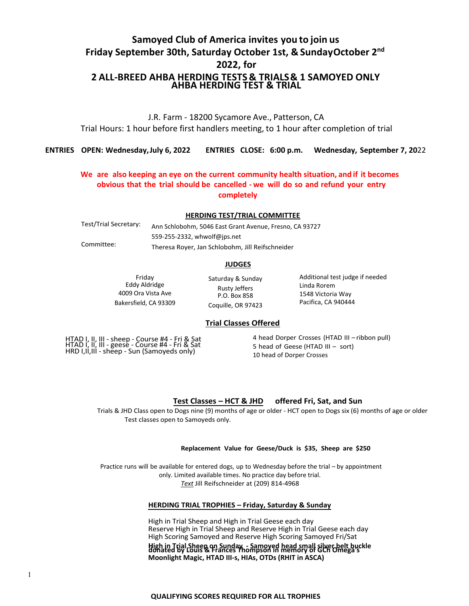# **Samoyed Club of America invites you to join us Friday September 30th, Saturday October 1st, & SundayOctober 2 nd 2022, for 2 ALL-BREED AHBA HERDING TESTS & TRIALS& 1 SAMOYED ONLY AHBA HERDING TEST & TRIAL**

J.R. Farm - 18200 Sycamore Ave., Patterson, CA Trial Hours: 1 hour before first handlers meeting, to 1 hour after completion of trial

**ENTRIES OPEN: Wednesday,July 6, 2022 ENTRIES CLOSE: 6:00 p.m. Wednesday, September 7, 20**22

# **We are also keeping an eye on the current community health situation, and if it becomes obvious that the trial should be cancelled - we will do so and refund your entry completely**

#### **HERDING TEST/TRIAL COMMITTEE**

Test/Trial Secretary: Committee: Ann Schlobohm, 5046 East Grant Avenue, Fresno, CA 93727 559-255-2332, whwolf@jps.net Theresa Royer, Jan Schlobohm, Jill Reifschneider

### **JUDGES**

Friday Eddy Aldridge 4009 Ora Vista Ave Bakersfield, CA 93309 Saturday & Sunday Rusty Jeffers P.O. Box 858 Coquille, OR 97423

Additional test judge if needed Linda Rorem 1548 Victoria Way Pacifica, CA 940444

# **Trial Classes Offered**

HTAD I, II, III - sheep - Course #4 - Fri & Sat HTAD I, II, III - geese - Course #4 - Fri & Sat HRD I, II, III - sheep - Sun (Samoyeds only)

4 head Dorper Crosses (HTAD III – ribbon pull) 5 head of Geese (HTAD III – sort) 10 head of Dorper Crosses

# **Test Classes – HCT & JHD offered Fri, Sat, and Sun**

Trials & JHD Class open to Dogs nine (9) months of age or older - HCT open to Dogs six (6) months of age or older Test classes open to Samoyeds only.

#### **Replacement Value for Geese/Duck is \$35, Sheep are \$250**

Practice runs will be available for entered dogs, up to Wednesday before the trial – by appointment only. Limited available times. No practice day before trial. *Text* Jill Reifschneider at (209) 814-4968

# **HERDING TRIAL TROPHIES – Friday, Saturday & Sunday**

High in Trial Sheep and High in Trial Geese each day Reserve High in Trial Sheep and Reserve High in Trial Geese each day High Scoring Samoyed and Reserve High Scoring Samoyed Fri/Sat High in Trial Sheep on Sunday - Samoyed head small silver belt buckle<br>donated by Louis & Frances Thompson in memory of GCh Omega's **Moonlight Magic, HTAD III-s, HIAs, OTDs (RHIT in ASCA)**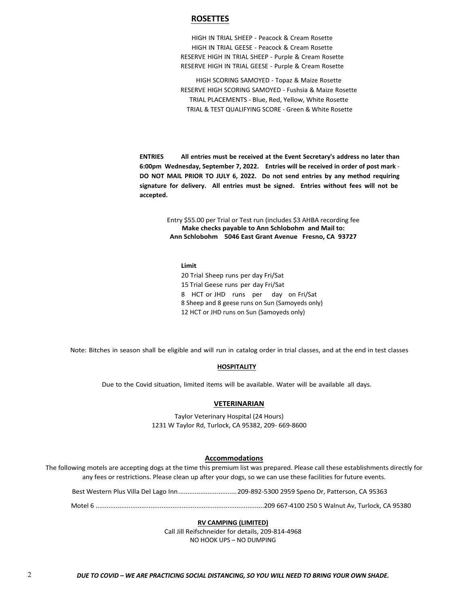# **ROSETTES**

HIGH IN TRIAL SHEEP - Peacock & Cream Rosette HIGH IN TRIAL GEESE - Peacock & Cream Rosette RESERVE HIGH IN TRIAL SHEEP - Purple & Cream Rosette RESERVE HIGH IN TRIAL GEESE - Purple & Cream Rosette

HIGH SCORING SAMOYED - Topaz & Maize Rosette RESERVE HIGH SCORING SAMOYED - Fushsia & Maize Rosette TRIAL PLACEMENTS - Blue, Red, Yellow, White Rosette TRIAL & TEST QUALIFYING SCORE - Green & White Rosette

**ENTRIES All entries must be received at the Event Secretary's address no later than 6:00pm Wednesday, September 7, 2022. Entries will be received in order of post mark** - **DO NOT MAIL PRIOR TO JULY 6, 2022. Do not send entries by any method requiring signature for delivery. All entries must be signed. Entries without fees will not be accepted.**

> Entry \$55.00 per Trial or Test run (includes \$3 AHBA recording fee **Make checks payable to Ann Schlobohm and Mail to: Ann Schlobohm 5046 East Grant Avenue Fresno, CA 93727**

# **Limit**

20 Trial Sheep runs per day Fri/Sat 15 Trial Geese runs per day Fri/Sat 8 HCT or JHD runs per day on Fri/Sat 8 Sheep and 8 geese runs on Sun (Samoyeds only) 12 HCT or JHD runs on Sun (Samoyeds only)

Note: Bitches in season shall be eligible and will run in catalog order in trial classes, and at the end in test classes

#### **HOSPITALITY**

Due to the Covid situation, limited items will be available. Water will be available all days.

# **VETERINARIAN**

Taylor Veterinary Hospital (24 Hours) 1231 W Taylor Rd, Turlock, CA 95382, 209- 669-8600

#### **Accommodations**

The following motels are accepting dogs at the time this premium list was prepared. Please call these establishments directly for any fees or restrictions. Please clean up after your dogs, so we can use these facilities for future events.

Best Western Plus Villa Del Lago Inn................................209-892-5300 2959 Speno Dr, Patterson, CA 95363

Motel 6 ............................................................................................209 667-4100 250 S Walnut Av, Turlock, CA 95380

#### **RV CAMPING (LIMITED)**

Call Jill Reifschneider for details, 209-814-4968 NO HOOK UPS – NO DUMPING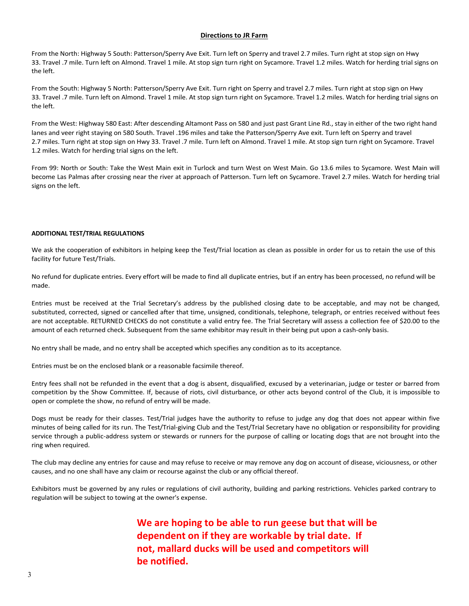# **Directions to JR Farm**

From the North: Highway 5 South: Patterson/Sperry Ave Exit. Turn left on Sperry and travel 2.7 miles. Turn right at stop sign on Hwy 33. Travel .7 mile. Turn left on Almond. Travel 1 mile. At stop sign turn right on Sycamore. Travel 1.2 miles. Watch for herding trial signs on the left.

From the South: Highway 5 North: Patterson/Sperry Ave Exit. Turn right on Sperry and travel 2.7 miles. Turn right at stop sign on Hwy 33. Travel .7 mile. Turn left on Almond. Travel 1 mile. At stop sign turn right on Sycamore. Travel 1.2 miles. Watch for herding trial signs on the left.

From the West: Highway 580 East: After descending Altamont Pass on 580 and just past Grant Line Rd., stay in either of the two right hand lanes and veer right staying on 580 South. Travel .196 miles and take the Patterson/Sperry Ave exit. Turn left on Sperry and travel 2.7 miles. Turn right at stop sign on Hwy 33. Travel .7 mile. Turn left on Almond. Travel 1 mile. At stop sign turn right on Sycamore. Travel 1.2 miles. Watch for herding trial signs on the left.

From 99: North or South: Take the West Main exit in Turlock and turn West on West Main. Go 13.6 miles to Sycamore. West Main will become Las Palmas after crossing near the river at approach of Patterson. Turn left on Sycamore. Travel 2.7 miles. Watch for herding trial signs on the left.

# **ADDITIONAL TEST/TRIAL REGULATIONS**

We ask the cooperation of exhibitors in helping keep the Test/Trial location as clean as possible in order for us to retain the use of this facility for future Test/Trials.

No refund for duplicate entries. Every effort will be made to find all duplicate entries, but if an entry has been processed, no refund will be made.

Entries must be received at the Trial Secretary's address by the published closing date to be acceptable, and may not be changed, substituted, corrected, signed or cancelled after that time, unsigned, conditionals, telephone, telegraph, or entries received without fees are not acceptable. RETURNED CHECKS do not constitute a valid entry fee. The Trial Secretary will assess a collection fee of \$20.00 to the amount of each returned check. Subsequent from the same exhibitor may result in their being put upon a cash-only basis.

No entry shall be made, and no entry shall be accepted which specifies any condition as to its acceptance.

Entries must be on the enclosed blank or a reasonable facsimile thereof.

Entry fees shall not be refunded in the event that a dog is absent, disqualified, excused by a veterinarian, judge or tester or barred from competition by the Show Committee. If, because of riots, civil disturbance, or other acts beyond control of the Club, it is impossible to open or complete the show, no refund of entry will be made.

Dogs must be ready for their classes. Test/Trial judges have the authority to refuse to judge any dog that does not appear within five minutes of being called for its run. The Test/Trial-giving Club and the Test/Trial Secretary have no obligation or responsibility for providing service through a public-address system or stewards or runners for the purpose of calling or locating dogs that are not brought into the ring when required.

The club may decline any entries for cause and may refuse to receive or may remove any dog on account of disease, viciousness, or other causes, and no one shall have any claim or recourse against the club or any official thereof.

Exhibitors must be governed by any rules or regulations of civil authority, building and parking restrictions. Vehicles parked contrary to regulation will be subject to towing at the owner's expense.

> **We are hoping to be able to run geese but that will be dependent on if they are workable by trial date. If not, mallard ducks will be used and competitors will be notified.**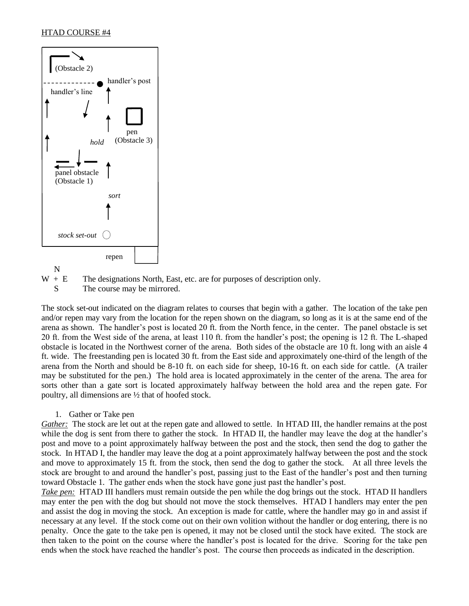



S The course may be mirrored.

The stock set-out indicated on the diagram relates to courses that begin with a gather. The location of the take pen and/or repen may vary from the location for the repen shown on the diagram, so long as it is at the same end of the arena as shown. The handler's post is located 20 ft. from the North fence, in the center. The panel obstacle is set 20 ft. from the West side of the arena, at least 110 ft. from the handler's post; the opening is 12 ft. The L-shaped obstacle is located in the Northwest corner of the arena. Both sides of the obstacle are 10 ft. long with an aisle 4 ft. wide. The freestanding pen is located 30 ft. from the East side and approximately one-third of the length of the arena from the North and should be 8-10 ft. on each side for sheep, 10-16 ft. on each side for cattle. (A trailer may be substituted for the pen.) The hold area is located approximately in the center of the arena. The area for sorts other than a gate sort is located approximately halfway between the hold area and the repen gate. For poultry, all dimensions are ½ that of hoofed stock.

# 1. Gather or Take pen

*Gather:* The stock are let out at the repen gate and allowed to settle. In HTAD III, the handler remains at the post while the dog is sent from there to gather the stock. In HTAD II, the handler may leave the dog at the handler's post and move to a point approximately halfway between the post and the stock, then send the dog to gather the stock. In HTAD I, the handler may leave the dog at a point approximately halfway between the post and the stock and move to approximately 15 ft. from the stock, then send the dog to gather the stock. At all three levels the stock are brought to and around the handler's post, passing just to the East of the handler's post and then turning toward Obstacle 1. The gather ends when the stock have gone just past the handler's post.

*Take pen:* HTAD III handlers must remain outside the pen while the dog brings out the stock. HTAD II handlers may enter the pen with the dog but should not move the stock themselves. HTAD I handlers may enter the pen and assist the dog in moving the stock. An exception is made for cattle, where the handler may go in and assist if necessary at any level. If the stock come out on their own volition without the handler or dog entering, there is no penalty. Once the gate to the take pen is opened, it may not be closed until the stock have exited. The stock are then taken to the point on the course where the handler's post is located for the drive. Scoring for the take pen ends when the stock have reached the handler's post. The course then proceeds as indicated in the description.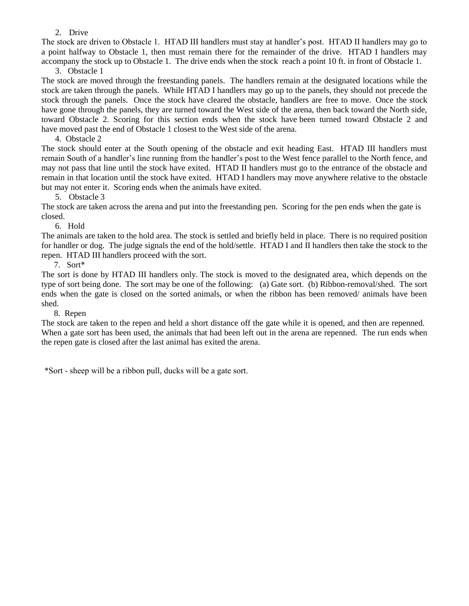# 2. Drive

The stock are driven to Obstacle 1. HTAD III handlers must stay at handler's post. HTAD II handlers may go to a point halfway to Obstacle 1, then must remain there for the remainder of the drive. HTAD I handlers may accompany the stock up to Obstacle 1. The drive ends when the stock reach a point 10 ft. in front of Obstacle 1.

3. Obstacle 1

The stock are moved through the freestanding panels. The handlers remain at the designated locations while the stock are taken through the panels. While HTAD I handlers may go up to the panels, they should not precede the stock through the panels. Once the stock have cleared the obstacle, handlers are free to move. Once the stock have gone through the panels, they are turned toward the West side of the arena, then back toward the North side, toward Obstacle 2. Scoring for this section ends when the stock have been turned toward Obstacle 2 and have moved past the end of Obstacle 1 closest to the West side of the arena.

4. Obstacle 2

The stock should enter at the South opening of the obstacle and exit heading East. HTAD III handlers must remain South of a handler's line running from the handler's post to the West fence parallel to the North fence, and may not pass that line until the stock have exited. HTAD II handlers must go to the entrance of the obstacle and remain in that location until the stock have exited. HTAD I handlers may move anywhere relative to the obstacle but may not enter it. Scoring ends when the animals have exited.

5. Obstacle 3

The stock are taken across the arena and put into the freestanding pen. Scoring for the pen ends when the gate is closed.

6. Hold

The animals are taken to the hold area. The stock is settled and briefly held in place. There is no required position for handler or dog. The judge signals the end of the hold/settle. HTAD I and II handlers then take the stock to the repen. HTAD III handlers proceed with the sort.

7. Sort\*

The sort is done by HTAD III handlers only. The stock is moved to the designated area, which depends on the type of sort being done. The sort may be one of the following: (a) Gate sort. (b) Ribbon-removal/shed. The sort ends when the gate is closed on the sorted animals, or when the ribbon has been removed/ animals have been shed.

8. Repen

The stock are taken to the repen and held a short distance off the gate while it is opened, and then are repenned. When a gate sort has been used, the animals that had been left out in the arena are repenned. The run ends when the repen gate is closed after the last animal has exited the arena.

\*Sort - sheep will be a ribbon pull, ducks will be a gate sort.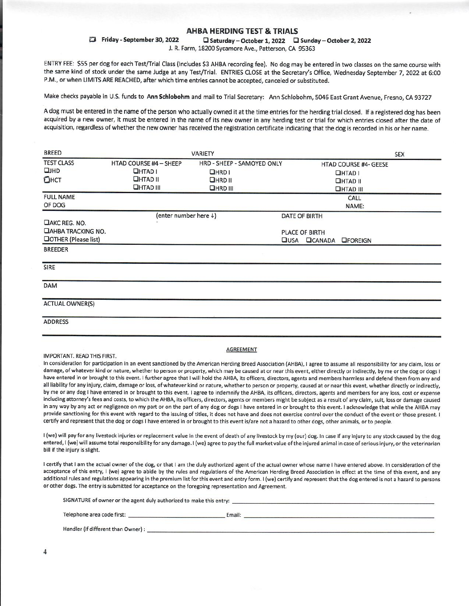# **AHBA HERDING TEST & TRIALS**

Friday - September 30, 2022 □ Saturday - October 1, 2022 □ Sunday - October 2, 2022

J. R. Farm, 18200 Sycamore Ave., Patterson, CA 95363

ENTRY FEE: \$55 per dog for each Test/Trial Class (Includes \$3 AHBA recording fee). No dog may be entered in two classes on the same course with the same kind of stock under the same Judge at any Test/Trial. ENTRIES CLOSE at the Secretary's Office, Wednesday September 7, 2022 at 6:00 P.M., or when LIMITS ARE REACHED, after which time entries cannot be accepted, canceled or substituted.

Make checks payable in U.S. funds to Ann Schlobohm and mail to Trial Secretary: Ann Schlobohm, 5046 East Grant Avenue, Fresno, CA 93727

A dog must be entered in the name of the person who actually owned it at the time entries for the herding trial closed. If a registered dog has been acquired by a new owner, it must be entered in the name of its new owner in any herding test or trial for which entries closed after the date of acquisition, regardless of whether the new owner has received the registration certificate indicating that the dog is recorded in his or her name.

| <b>BREED</b>                |                        | VARIETY                    |      |                                    | <b>SEX</b> |
|-----------------------------|------------------------|----------------------------|------|------------------------------------|------------|
| <b>TEST CLASS</b>           | HTAD COURSE #4 - SHEEP | HRD - SHEEP - SAMOYED ONLY |      | <b>HTAD COURSE #4- GEESE</b>       |            |
| QHHD                        | <b>OHTAD I</b>         | <b>OHRDI</b>               |      | $I$ HTAD I                         |            |
| Онст                        | <b>QHTAD II</b>        | HRDII                      |      | <b>QHTAD II</b>                    |            |
|                             | <b>QHTAD III</b>       | <b>QHRD III</b>            |      | <b>OHTAD III</b>                   |            |
| <b>FULL NAME</b>            |                        |                            |      | CALL                               |            |
| OF DOG                      |                        |                            |      | NAME:                              |            |
|                             | (enter number here +)  |                            |      | <b>DATE OF BIRTH</b>               |            |
| DAKC REG. NO.               |                        |                            |      |                                    |            |
| <b>DAHBA TRACKING NO.</b>   |                        |                            |      | <b>PLACE OF BIRTH</b>              |            |
| <b>OOTHER (Please list)</b> |                        |                            | UUSA | <b>OCANADA</b><br><b>LIFOREIGN</b> |            |
| <b>BREEDER</b>              |                        |                            |      |                                    |            |
| SIRE                        |                        |                            |      |                                    |            |
| <b>DAM</b>                  |                        |                            |      |                                    |            |
| <b>ACTUAL OWNER(S)</b>      |                        |                            |      |                                    |            |
| <b>ADDRESS</b>              |                        |                            |      |                                    |            |
|                             |                        |                            |      |                                    |            |

#### **IMPORTANT, READ THIS FIRST.**

#### **AGREEMENT**

In consideration for participation in an event sanctioned by the American Herding Breed Association (AHBA), I agree to assume all responsibility for any claim, loss or damage, of whatever kind or nature, whether to person or property, which may be caused at or near this event, either directly or indirectly, by me or the dog or dogs I have entered in or brought to this event. I further agree that I will hold the AHBA, its officers, directors, agents and members harmless and defend them from any and all liability for any injury, claim, damage or loss, of whatever kind or nature, whether to person or property, caused at or near this event, whether directly or indirectly, by me or any dog I have entered in or brought to this event. I agree to indemnify the AHBA, its officers, directors, agents and members for any loss, cost or expense including attorney's fees and costs, to which the AHBA, its officers, directors, agents or members might be subject as a result of any claim, suit, loss or damage caused in any way by any act or negligence on my part or on the part of any dog or dogs I have entered in or brought to this event. I acknowledge that while the AHBA may provide sanctioning for this event with regard to the issuing of titles, it does not have and does not exercise control over the conduct of the event or those present. I certify and represent that the dog or dogs I have entered in or brought to this event is/are not a hazard to other dogs, other animals, or to people.

I (we) will pay for any livestock injuries or replacement value in the event of death of any livestock by my (our) dog. In case if any injury to any stock caused by the dog entered, I (we) will assume total responsibility for any damage. I (we) agree to pay the full market value of the injured animal in case of serious injury, or the veterinarian bill if the injury is slight.

I certify that I am the actual owner of the dog, or that I am the duly authorized agent of the actual owner whose name I have entered above. In consideration of the acceptance of this entry, I (we) agree to abide by the rules and regulations of the American Herding Breed Association in effect at the time of this event, and any additional rules and regulations appearing in the premium list for this event and entry form. I (we) certify and represent that the dog entered is not a hazard to persons or other dogs. The entry is submitted for acceptance on the foregoing representation and Agreement.

| SIGNATURE of owner or the agent duly authorized to make this entry: |        |
|---------------------------------------------------------------------|--------|
| Telephone area code first:                                          | Email: |
| Handler (if different than Owner) :                                 |        |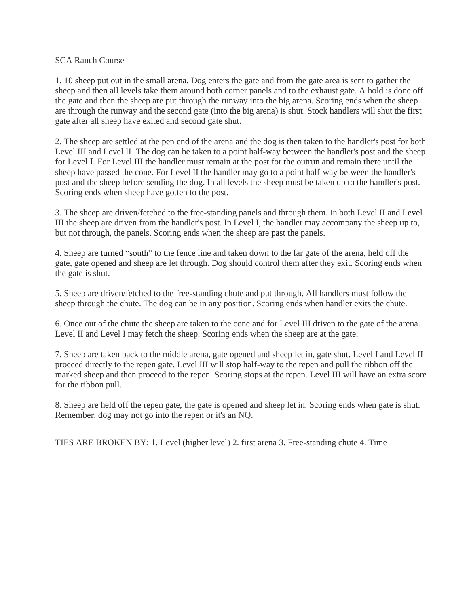# SCA Ranch Course

1. 10 sheep put out in the small arena. Dog enters the gate and from the gate area is sent to gather the sheep and then all levels take them around both corner panels and to the exhaust gate. A hold is done off the gate and then the sheep are put through the runway into the big arena. Scoring ends when the sheep are through the runway and the second gate (into the big arena) is shut. Stock handlers will shut the first gate after all sheep have exited and second gate shut.

2. The sheep are settled at the pen end of the arena and the dog is then taken to the handler's post for both Level III and Level IL The dog can be taken to a point half-way between the handler's post and the sheep for Level I. For Level III the handler must remain at the post for the outrun and remain there until the sheep have passed the cone. For Level II the handler may go to a point half-way between the handler's post and the sheep before sending the dog. In all levels the sheep must be taken up to the handler's post. Scoring ends when sheep have gotten to the post.

3. The sheep are driven/fetched to the free-standing panels and through them. In both Level II and Level III the sheep are driven from the handler's post. In Level I, the handler may accompany the sheep up to, but not through, the panels. Scoring ends when the sheep are past the panels.

4. Sheep are turned "south" to the fence line and taken down to the far gate of the arena, held off the gate, gate opened and sheep are let through. Dog should control them after they exit. Scoring ends when the gate is shut.

5. Sheep are driven/fetched to the free-standing chute and put through. All handlers must follow the sheep through the chute. The dog can be in any position. Scoring ends when handler exits the chute.

6. Once out of the chute the sheep are taken to the cone and for Level III driven to the gate of the arena. Level II and Level I may fetch the sheep. Scoring ends when the sheep are at the gate.

7. Sheep are taken back to the middle arena, gate opened and sheep let in, gate shut. Level I and Level II proceed directly to the repen gate. Level III will stop half-way to the repen and pull the ribbon off the marked sheep and then proceed to the repen. Scoring stops at the repen. Level III will have an extra score for the ribbon pull.

8. Sheep are held off the repen gate, the gate is opened and sheep let in. Scoring ends when gate is shut. Remember, dog may not go into the repen or it's an NQ.

TIES ARE BROKEN BY: 1. Level (higher level) 2. first arena 3. Free-standing chute 4. Time